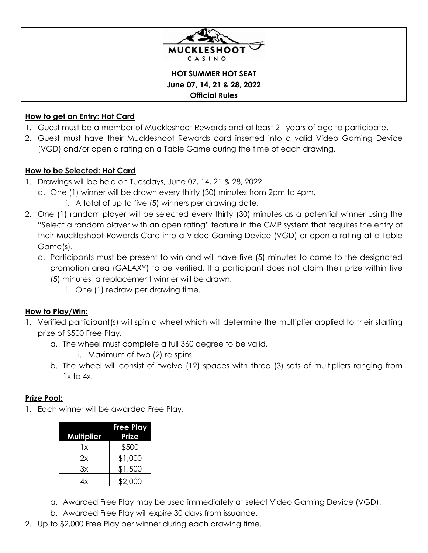

**HOT SUMMER HOT SEAT June 07, 14, 21 & 28, 2022 Official Rules**

## **How to get an Entry: Hot Card**

- 1. Guest must be a member of Muckleshoot Rewards and at least 21 years of age to participate.
- 2. Guest must have their Muckleshoot Rewards card inserted into a valid Video Gaming Device (VGD) and/or open a rating on a Table Game during the time of each drawing.

## **How to be Selected: Hot Card**

- 1. Drawings will be held on Tuesdays, June 07, 14, 21 & 28, 2022.
	- a. One (1) winner will be drawn every thirty (30) minutes from 2pm to 4pm.
		- i. A total of up to five (5) winners per drawing date.
- 2. One (1) random player will be selected every thirty (30) minutes as a potential winner using the "Select a random player with an open rating" feature in the CMP system that requires the entry of their Muckleshoot Rewards Card into a Video Gaming Device (VGD) or open a rating at a Table Game(s).
	- a. Participants must be present to win and will have five (5) minutes to come to the designated promotion area (GALAXY) to be verified. If a participant does not claim their prize within five (5) minutes, a replacement winner will be drawn.
		- i. One (1) redraw per drawing time.

# **How to Play/Win:**

- 1. Verified participant(s) will spin a wheel which will determine the multiplier applied to their starting prize of \$500 Free Play.
	- a. The wheel must complete a full 360 degree to be valid.

i. Maximum of two (2) re-spins.

b. The wheel will consist of twelve (12) spaces with three (3) sets of multipliers ranging from  $1x$  to  $4x$ .

#### **Prize Pool:**

1. Each winner will be awarded Free Play.

| <b>Multiplier</b> | <b>Free Play</b><br><b>Prize</b> |
|-------------------|----------------------------------|
| 1x                | \$500                            |
| 2χ                | \$1,000                          |
| Зx                | \$1,500                          |
| 4x                | \$2,000                          |

- a. Awarded Free Play may be used immediately at select Video Gaming Device (VGD).
- b. Awarded Free Play will expire 30 days from issuance.
- 2. Up to \$2,000 Free Play per winner during each drawing time.